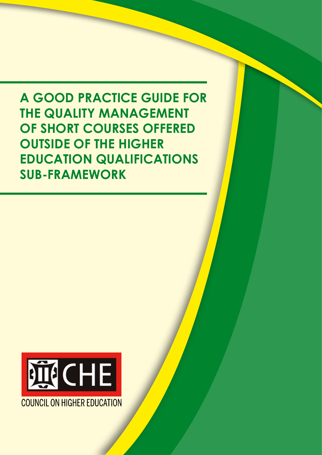**A GOOD PRACTICE GUIDE FOR THE QUALITY MANAGEMENT OF SHORT COURSES OFFERED OUTSIDE OF THE HIGHER EDUCATION QUALIFICATIONS SUB-FRAMEWORK**

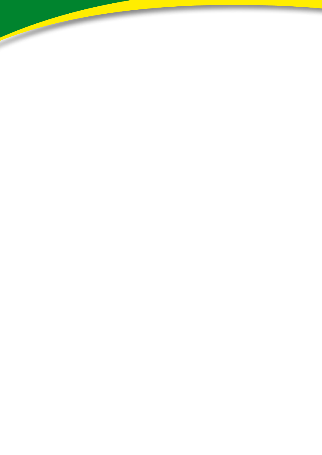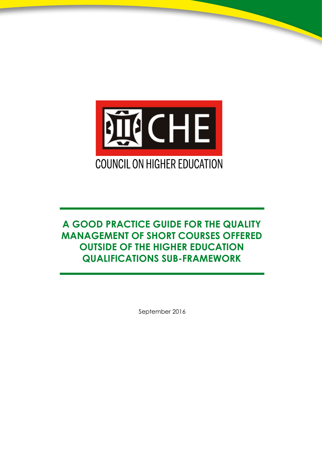

# **A GOOD PRACTICE GUIDE FOR THE QUALITY MANAGEMENT OF SHORT COURSES OFFERED OUTSIDE OF THE HIGHER EDUCATION QUALIFICATIONS SUB-FRAMEWORK**

September 2016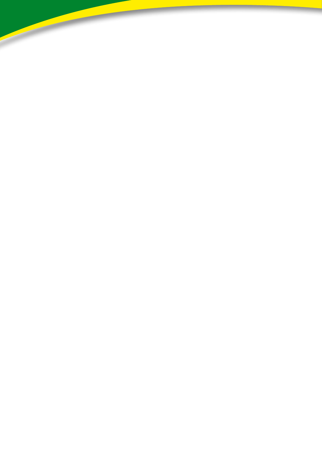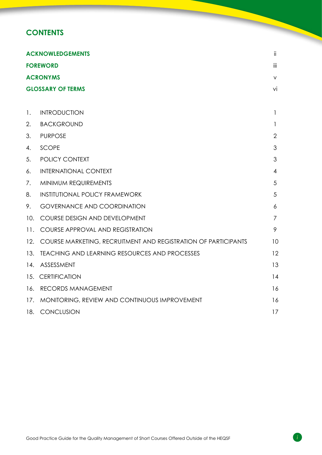# **CONTENTS**

| <b>ACKNOWLEDGEMENTS</b> |                                                                |                |  |  |
|-------------------------|----------------------------------------------------------------|----------------|--|--|
|                         | <b>FOREWORD</b>                                                |                |  |  |
|                         | <b>ACRONYMS</b>                                                |                |  |  |
|                         | <b>GLOSSARY OF TERMS</b>                                       |                |  |  |
|                         |                                                                |                |  |  |
| $\mathbf{1}$ .          | <b>INTRODUCTION</b>                                            | $\mathbf{1}$   |  |  |
| 2.                      | <b>BACKGROUND</b>                                              | 1              |  |  |
| 3.                      | <b>PURPOSE</b>                                                 | $\overline{2}$ |  |  |
| 4.                      | <b>SCOPE</b>                                                   | 3              |  |  |
| 5.                      | POLICY CONTEXT                                                 | 3              |  |  |
| 6.                      | <b>INTERNATIONAL CONTEXT</b>                                   | 4              |  |  |
| 7.                      | MINIMUM REQUIREMENTS                                           | 5              |  |  |
| 8.                      | <b>INSTITUTIONAL POLICY FRAMEWORK</b>                          | 5              |  |  |
| 9.                      | <b>GOVERNANCE AND COORDINATION</b>                             | 6              |  |  |
| 10.                     | <b>COURSE DESIGN AND DEVELOPMENT</b>                           | $\overline{7}$ |  |  |
| 11.                     | COURSE APPROVAL AND REGISTRATION                               | 9              |  |  |
| 12.                     | COURSE MARKETING, RECRUITMENT AND REGISTRATION OF PARTICIPANTS | 10             |  |  |
| 13.                     | <b>TEACHING AND LEARNING RESOURCES AND PROCESSES</b>           | 12             |  |  |
| 14.                     | ASSESSMENT                                                     | 13             |  |  |
|                         | 15. CERTIFICATION                                              | 14             |  |  |
| 16.                     | <b>RECORDS MANAGEMENT</b>                                      | 16             |  |  |
| 17.                     | MONITORING, REVIEW AND CONTINUOUS IMPROVEMENT                  | 16             |  |  |
| 18.                     | CONCLUSION                                                     | 17             |  |  |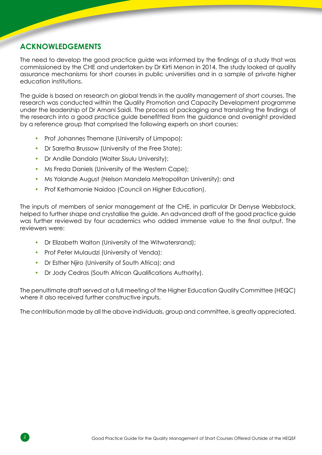# **ACKNOWLEDGEMENTS**

The need to develop the good practice guide was informed by the findings of a study that was commissioned by the CHE and undertaken by Dr Kirti Menon in 2014. The study looked at quality assurance mechanisms for short courses in public universities and in a sample of private higher education institutions.

The guide is based on research on global trends in the quality management of short courses. The research was conducted within the Quality Promotion and Capacity Development programme under the leadership of Dr Amani Saidi. The process of packaging and translating the findings of the research into a good practice guide benefitted from the guidance and oversight provided by a reference group that comprised the following experts on short courses:

- Prof Johannes Themane (University of Limpopo);
- Dr Saretha Brussow (University of the Free State);
- Dr Andile Dandala (Walter Sisulu University);
- Ms Freda Daniels (University of the Western Cape);
- Ms Yolande August (Nelson Mandela Metropolitan University); and
- Prof Kethamonie Naidoo (Council on Higher Education).

The inputs of members of senior management at the CHE, in particular Dr Denyse Webbstock, helped to further shape and crystallise the guide. An advanced draft of the good practice guide was further reviewed by four academics who added immense value to the final output. The reviewers were:

- Dr Elizabeth Walton (University of the Witwatersrand);
- Prof Peter Mulaudzi (University of Venda);
- Dr Esther Njiro (University of South Africa); and
- Dr Jody Cedras (South African Qualifications Authority).

The penultimate draft served at a full meeting of the Higher Education Quality Committee (HEQC) where it also received further constructive inputs.

The contribution made by all the above individuals, group and committee, is greatly appreciated.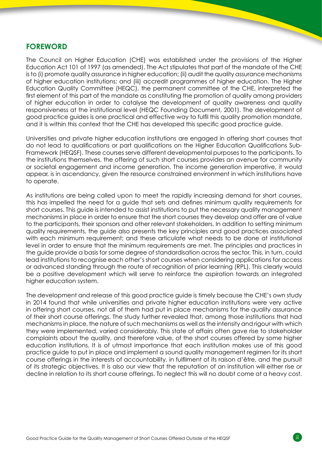#### **FOREWORD**

The Council on Higher Education (CHE) was established under the provisions of the Higher Education Act 101 of 1997 (as amended). The Act stipulates that part of the mandate of the CHE is to (i) promote quality assurance in higher education; (ii) audit the quality assurance mechanisms of higher education institutions; and (iii) accredit programmes of higher education. The Higher Education Quality Committee (HEQC), the permanent committee of the CHE, interpreted the first element of this part of the mandate as constituting the promotion of quality among providers of higher education in order to catalyse the development of quality awareness and quality responsiveness at the institutional level (HEQC Founding Document, 2001). The development of good practice guides is one practical and effective way to fulfil this quality promotion mandate, and it is within this context that the CHE has developed this specific good practice guide.

Universities and private higher education institutions are engaged in offering short courses that do not lead to qualifications or part qualifications on the Higher Education Qualifications Sub-Framework (HEQSF). These courses serve different developmental purposes to the participants. To the institutions themselves, the offering of such short courses provides an avenue for community or societal engagement and income generation. The income generation imperative, it would appear, is in ascendancy, given the resource constrained environment in which institutions have to operate.

As institutions are being called upon to meet the rapidly increasing demand for short courses, this has impelled the need for a guide that sets and defines minimum quality requirements for short courses. This guide is intended to assist institutions to put the necessary quality management mechanisms in place in order to ensure that the short courses they develop and offer are of value to the participants, their sponsors and other relevant stakeholders. In addition to setting minimum quality requirements, the guide also presents the key principles and good practices associated with each minimum requirement; and these articulate what needs to be done at institutional level in order to ensure that the minimum requirements are met. The principles and practices in the guide provide a basis for some degree of standardisation across the sector. This, in turn, could lead institutions to recognise each other's short courses when considering applications for access or advanced standing through the route of recognition of prior learning (RPL). This clearly would be a positive development which will serve to reinforce the aspiration towards an integrated higher education system.

The development and release of this good practice guide is timely because the CHE's own study in 2014 found that while universities and private higher education institutions were very active in offering short courses, not all of them had put in place mechanisms for the quality assurance of their short course offerings. The study further revealed that, among those institutions that had mechanisms in place, the nature of such mechanisms as well as the intensity and rigour with which they were implemented, varied considerably. This state of affairs often gave rise to stakeholder complaints about the quality, and therefore value, of the short courses offered by some higher education institutions. It is of utmost importance that each institution makes use of this good practice guide to put in place and implement a sound quality management regimen for its short course offerings in the interests of accountability, in fulfilment of its raison d'être, and the pursuit of its strategic objectives. It is also our view that the reputation of an institution will either rise or decline in relation to its short course offerings. To neglect this will no doubt come at a heavy cost.

 $\overline{\phantom{a}}$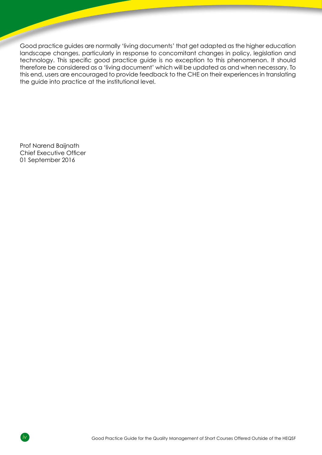Good practice guides are normally 'living documents' that get adapted as the higher education landscape changes, particularly in response to concomitant changes in policy, legislation and technology. This specific good practice guide is no exception to this phenomenon. It should therefore be considered as a 'living document' which will be updated as and when necessary. To this end, users are encouraged to provide feedback to the CHE on their experiences in translating the guide into practice at the institutional level.

Prof Narend Baijnath Chief Executive Officer 01 September 2016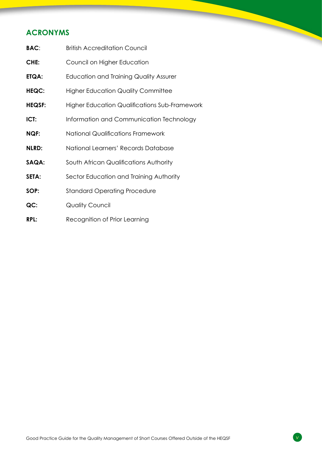# **ACRONYMS**

| <b>BAC:</b>   | <b>British Accreditation Council</b>                 |
|---------------|------------------------------------------------------|
| CHE:          | Council on Higher Education                          |
| ETQA:         | <b>Education and Training Quality Assurer</b>        |
| HEQC:         | <b>Higher Education Quality Committee</b>            |
| <b>HEQSF:</b> | <b>Higher Education Qualifications Sub-Framework</b> |
| ICT:          | Information and Communication Technology             |
| NQF:          | <b>National Qualifications Framework</b>             |
| <b>NLRD:</b>  | National Learners' Records Database                  |
| SAQA:         | South African Qualifications Authority               |
| SETA:         | Sector Education and Training Authority              |
| SOP:          | <b>Standard Operating Procedure</b>                  |
| QC:           | <b>Quality Council</b>                               |
| <b>RPL:</b>   | Recognition of Prior Learning                        |

 $\overline{\phantom{a}}$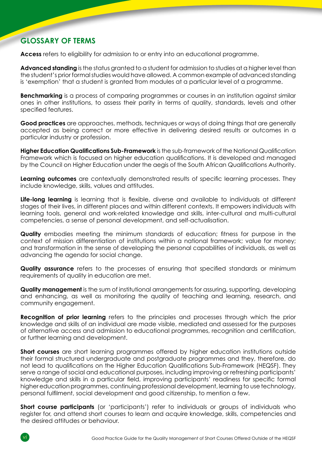# **GLOSSARY OF TERMS**

**Access** refers to eligibility for admission to or entry into an educational programme.

**Advanced standing** is the status granted to a student for admission to studies at a higher level than the student's prior formal studies would have allowed. A common example of advanced standing is 'exemption' that a student is granted from modules at a particular level of a programme.

**Benchmarking** is a process of comparing programmes or courses in an institution against similar ones in other institutions, to assess their parity in terms of quality, standards, levels and other specified features.

**Good practices** are approaches, methods, techniques or ways of doing things that are generally accepted as being correct or more effective in delivering desired results or outcomes in a particular industry or profession.

**Higher Education Qualifications Sub-Framework** is the sub-framework of the National Qualification Framework which is focused on higher education qualifications. It is developed and managed by the Council on Higher Education under the aegis of the South African Qualifications Authority.

**Learning outcomes** are contextually demonstrated results of specific learning processes. They include knowledge, skills, values and attitudes.

**Life-long learning** is learning that is flexible, diverse and available to individuals at different stages of their lives, in different places and within different contexts. It empowers individuals with learning tools, general and work-related knowledge and skills, inter-cultural and multi-cultural competencies, a sense of personal development, and self-actualisation.

**Quality** embodies meeting the minimum standards of education; fitness for purpose in the context of mission differentiation of institutions within a national framework; value for money; and transformation in the sense of developing the personal capabilities of individuals, as well as advancing the agenda for social change.

**Quality assurance** refers to the processes of ensuring that specified standards or minimum requirements of quality in education are met.

**Quality management** is the sum of institutional arrangements for assuring, supporting, developing and enhancing, as well as monitoring the quality of teaching and learning, research, and community engagement.

**Recognition of prior learning** refers to the principles and processes through which the prior knowledge and skills of an individual are made visible, mediated and assessed for the purposes of alternative access and admission to educational programmes, recognition and certification, or further learning and development.

**Short courses** are short learning programmes offered by higher education institutions outside their formal structured undergraduate and postgraduate programmes and they, therefore, do not lead to qualifications on the Higher Education Qualifications Sub-Framework (HEQSF). They serve a range of social and educational purposes, including improving or refreshing participants' knowledge and skills in a particular field, improving participants' readiness for specific formal higher education programmes, continuing professional development, learning to use technology, personal fulfilment, social development and good citizenship, to mention a few.

**Short course participants** (or 'participants') refer to individuals or groups of individuals who register for, and attend short courses to learn and acquire knowledge, skills, competencies and the desired attitudes or behaviour.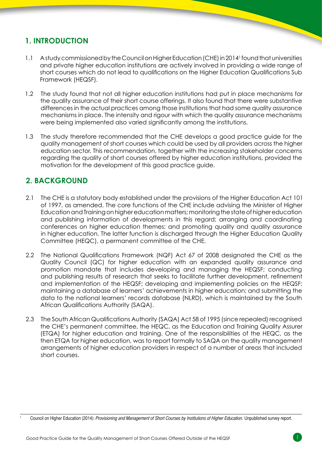# **1. INTRODUCTION**

- 1.1 A study commissioned by the Council on Higher Education (CHE) in 2014<sup>1</sup> found that universities and private higher education institutions are actively involved in providing a wide range of short courses which do not lead to qualifications on the Higher Education Qualifications Sub Framework (HEQSF).
- 1.2 The study found that not all higher education institutions had put in place mechanisms for the quality assurance of their short course offerings. It also found that there were substantive differences in the actual practices among those institutions that had some quality assurance mechanisms in place. The intensity and rigour with which the quality assurance mechanisms were being implemented also varied significantly among the institutions.
- 1.3 The study therefore recommended that the CHE develops a good practice guide for the quality management of short courses which could be used by all providers across the higher education sector. This recommendation, together with the increasing stakeholder concerns regarding the quality of short courses offered by higher education institutions, provided the motivation for the development of this good practice guide.

## **2. BACKGROUND**

- 2.1 The CHE is a statutory body established under the provisions of the Higher Education Act 101 of 1997, as amended. The core functions of the CHE include advising the Minister of Higher Education and Training on higher education matters; monitoring the state of higher education and publishing information of developments in this regard; arranging and coordinating conferences on higher education themes; and promoting quality and quality assurance in higher education. The latter function is discharged through the Higher Education Quality Committee (HEQC), a permanent committee of the CHE.
- 2.2 The National Qualifications Framework (NQF) Act 67 of 2008 designated the CHE as the Quality Council (QC) for higher education with an expanded quality assurance and promotion mandate that includes developing and managing the HEQSF; conducting and publishing results of research that seeks to facilitate further development, refinement and implementation of the HEQSF; developing and implementing policies on the HEQSF; maintaining a database of learners' achievements in higher education; and submitting the data to the national learners' records database (NLRD), which is maintained by the South African Qualifications Authority (SAQA).
- 2.3 The South African Qualifications Authority (SAQA) Act 58 of 1995 (since repealed) recognised the CHE's permanent committee, the HEQC, as the Education and Training Quality Assurer (ETQA) for higher education and training. One of the responsibilities of the HEQC, as the then ETQA for higher education, was to report formally to SAQA on the quality management arrangements of higher education providers in respect of a number of areas that included short courses.

Council on Higher Education (2014): Provisioning and Management of Short Courses by Institutions of Higher Education. Unpublished survey report.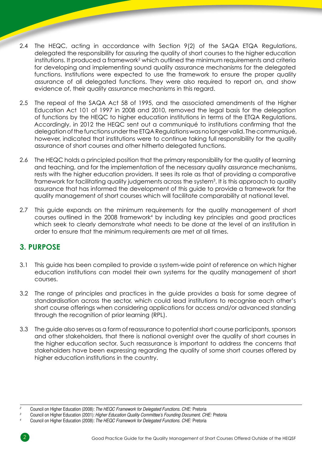- 2.4 The HEQC, acting in accordance with Section 9(2) of the SAQA ETQA Regulations, delegated the responsibility for assuring the quality of short courses to the higher education institutions. It produced a framework<sup>2</sup> which outlined the minimum requirements and criteria for developing and implementing sound quality assurance mechanisms for the delegated functions. Institutions were expected to use the framework to ensure the proper quality assurance of all delegated functions. They were also required to report on, and show evidence of, their quality assurance mechanisms in this regard.
- 2.5 The repeal of the SAQA Act 58 of 1995, and the associated amendments of the Higher Education Act 101 of 1997 in 2008 and 2010, removed the legal basis for the delegation of functions by the HEQC to higher education institutions in terms of the ETQA Regulations. Accordingly, in 2012 the HEQC sent out a communiqué to institutions confirming that the delegation of the functions under the ETQA Regulations was no longer valid. The communiqué, however, indicated that institutions were to continue taking full responsibility for the quality assurance of short courses and other hitherto delegated functions.
- 2.6 The HEQC holds a principled position that the primary responsibility for the quality of learning and teaching, and for the implementation of the necessary quality assurance mechanisms, rests with the higher education providers. It sees its role as that of providing a comparative framework for facilitating quality judgements across the system<sup>3</sup>. It is this approach to quality assurance that has informed the development of this guide to provide a framework for the quality management of short courses which will facilitate comparability at national level.
- 2.7 This guide expands on the minimum requirements for the quality management of short courses outlined in the 2008 framework<sup>4</sup> by including key principles and good practices which seek to clearly demonstrate what needs to be done at the level of an institution in order to ensure that the minimum requirements are met at all times.

### **3. PURPOSE**

- 3.1 This guide has been compiled to provide a system-wide point of reference on which higher education institutions can model their own systems for the quality management of short courses.
- 3.2 The range of principles and practices in the guide provides a basis for some degree of standardisation across the sector, which could lead institutions to recognise each other's short course offerings when considering applications for access and/or advanced standing through the recognition of prior learning (RPL).
- 3.3 The guide also serves as a form of reassurance to potential short course participants, sponsors and other stakeholders, that there is national oversight over the quality of short courses in the higher education sector. Such reassurance is important to address the concerns that stakeholders have been expressing regarding the quality of some short courses offered by higher education institutions in the country.

- Council on Higher Education (2001): Higher Education Quality Committee's Founding Document. CHE: Pretoria
- Council on Higher Education (2008): The HEQC Framework for Delegated Functions. CHE: Pretoria

Council on Higher Education (2008): The HEQC Framework for Delegated Functions. CHE: Pretoria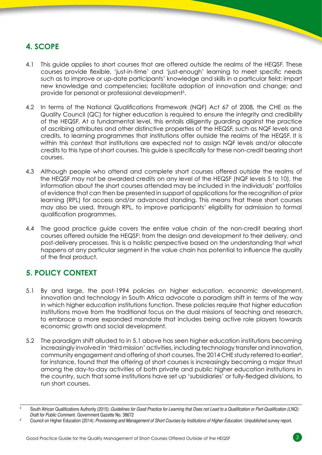# **4. SCOPE**

- 4.1 This guide applies to short courses that are offered outside the realms of the HEQSF. These courses provide flexible, 'just-in-time' and 'just-enough' learning to meet specific needs such as to improve or up-date participants' knowledge and skills in a particular field; impart new knowledge and competencies; facilitate adoption of innovation and change; and provide for personal or professional development<sup>5</sup>.
- 4.2 In terms of the National Qualifications Framework (NQF) Act 67 of 2008, the CHE as the Quality Council (QC) for higher education is required to ensure the integrity and credibility of the HEQSF. At a fundamental level, this entails diligently guarding against the practice of ascribing attributes and other distinctive properties of the HEQSF, such as NQF levels and credits, to learning programmes that institutions offer outside the realms of the HEQSF. It is within this context that institutions are expected not to assign NQF levels and/or allocate credits to this type of short courses. This guide is specifically for these non-credit bearing short courses.
- 4.3 Although people who attend and complete short courses offered outside the realms of the HEQSF may not be awarded credits on any level of the HEQSF (NQF levels 5 to 10), the information about the short courses attended may be included in the individuals' portfolios of evidence that can then be presented in support of applications for the recognition of prior learning (RPL) for access and/or advanced standing. This means that these short courses may also be used, through RPL, to improve participants' eligibility for admission to formal qualification programmes.
- 4.4 The good practice guide covers the entire value chain of the non-credit bearing short courses offered outside the HEQSF: from the design and development to their delivery, and post-delivery processes. This is a holistic perspective based on the understanding that what happens at any particular segment in the value chain has potential to influence the quality of the final product.

# **5. POLICY CONTEXT**

- 5.1 By and large, the post-1994 policies on higher education, economic development, innovation and technology in South Africa advocate a paradigm shift in terms of the way in which higher education institutions function. These policies require that higher education institutions move from the traditional focus on the dual missions of teaching and research, to embrace a more expanded mandate that includes being active role players towards economic growth and social development.
- 5.2 The paradigm shift alluded to in 5.1 above has seen higher education institutions becoming increasingly involved in 'third mission' activities, including technology transfer and innovation, community engagement and offering of short courses. The 2014 CHE study referred to earlier<sup>6</sup>, for instance, found that the offering of short courses is increasingly becoming a major thrust among the day-to-day activities of both private and public higher education institutions in the country, such that some institutions have set up 'subsidiaries' or fully-fledged divisions, to run short courses.

South African Qualifications Authority (2015): Guidelines for Good Practice for Learning that Does not Lead to a Qualification or Part-Qualification (LNQ): Draft for Public Comment. Government Gazette No. 38672

Council on Higher Education (2014): Provisioning and Management of Short Courses by Institutions of Higher Education. Unpublished survey report.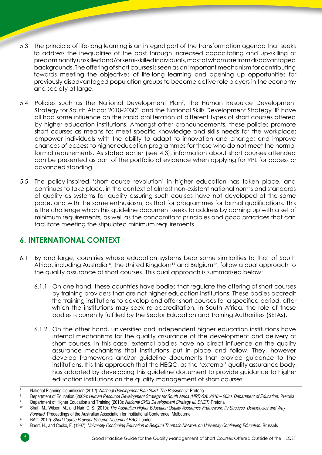- 5.3 The principle of life-long learning is an integral part of the transformation agenda that seeks to address the inequalities of the past through increased capacitating and up-skilling of predominantly unskilled and/or semi-skilled individuals, most of whom are from disadvantaged backgrounds. The offering of short courses is seen as an important mechanism for contributing towards meeting the objectives of life-long learning and opening up opportunities for previously disadvantaged population groups to become active role players in the economy and society at large.
- 5.4 Policies such as the National Development Plan<sup>7</sup>, the Human Resource Development Strategy for South Africa: 2010-2030<sup>8</sup>, and the National Skills Development Strategy III<sup>9</sup> have all had some influence on the rapid proliferation of different types of short courses offered by higher education institutions. Amongst other pronouncements, these policies promote short courses as means to: meet specific knowledge and skills needs for the workplace; empower individuals with the ability to adapt to innovation and change; and improve chances of access to higher education programmes for those who do not meet the normal formal requirements. As stated earlier (see 4.3), information about short courses attended can be presented as part of the portfolio of evidence when applying for RPL for access or advanced standing.
- 5.5 The policy-inspired 'short course revolution' in higher education has taken place, and continues to take place, in the context of almost non-existent national norms and standards of quality as systems for quality assuring such courses have not developed at the same pace, and with the same enthusiasm, as that for programmes for formal qualifications. This is the challenge which this guideline document seeks to address by coming up with a set of minimum requirements, as well as the concomitant principles and good practices that can facilitate meeting the stipulated minimum requirements.

# **6. INTERNATIONAL CONTEXT**

- 6.1 By and large, countries whose education systems bear some similarities to that of South Africa, including Australia<sup>10</sup>, the United Kingdom<sup>11</sup> and Belgium<sup>12</sup>, follow a dual approach to the quality assurance of short courses. This dual approach is summarised below:
	- 6.1.1 On one hand, these countries have bodies that regulate the offering of short courses by training providers that are not higher education institutions. These bodies accredit the training institutions to develop and offer short courses for a specified period, after which the institutions may seek re-accreditation. In South Africa, the role of these bodies is currently fulfilled by the Sector Education and Training Authorities (SETAs).
	- 6.1.2 On the other hand, universities and independent higher education institutions have internal mechanisms for the quality assurance of the development and delivery of short courses. In this case, external bodies have no direct influence on the quality assurance mechanisms that institutions put in place and follow. They, however, develop frameworks and/or guideline documents that provide guidance to the institutions. It is this approach that the HEQC, as the 'external' quality assurance body, has adopted by developing this guideline document to provide guidance to higher education institutions on the quality management of short courses.

National Planning Commission (2012): National Development Plan 2030. The Presidency: Pretoria

Department of Education (2009): Human Resource Development Strategy for South Africa (HRD-SA) 2010 - 2030. Department of Education: Pretoria Department of Higher Education and Training (2013): National Skills Development Strategy III. DHET: Pretoria

<sup>&</sup>lt;sup>10</sup> Shah, M., Wilson, M., and Nair, C. S. (2010): The Australian Higher Education Quality Assurance Framework: Its Success, Deficiencies and Way Forward. Proceedings of the Australian Association for Institutional Conference, Melbourne

<sup>&</sup>lt;sup>11</sup> BAC (2012): Short Course Provider Scheme Document BAC: London

<sup>&</sup>lt;sup>12</sup> Baert, H., and Cockx, F. (1997): University Continuing Education in Belgium Thematic Network on University Continuing Education: Brussels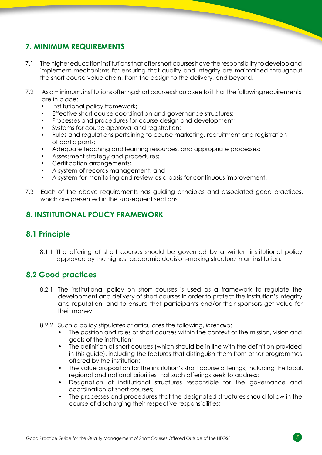# **7. MINIMUM REQUIREMENTS**

- 7.1 The higher education institutions that offer short courses have the responsibility to develop and implement mechanisms for ensuring that quality and integrity are maintained throughout the short course value chain, from the design to the delivery, and beyond.
- 7.2 As a minimum, institutions offering short courses should see to it that the following requirements are in place:
	- Institutional policy framework;
	- Effective short course coordination and governance structures;
	- Processes and procedures for course design and development;
	- Systems for course approval and registration;
	- Rules and regulations pertaining to course marketing, recruitment and registration of participants;
	- Adequate teaching and learning resources, and appropriate processes;
	- Assessment strategy and procedures;
	- Certification arrangements;
	- A system of records management; and
	- A system for monitoring and review as a basis for continuous improvement.
- 7.3 Each of the above requirements has guiding principles and associated good practices, which are presented in the subsequent sections.

### **8. INSTITUTIONAL POLICY FRAMEWORK**

### **8.1 Principle**

 8.1.1 The offering of short courses should be governed by a written institutional policy approved by the highest academic decision-making structure in an institution.

### **8.2 Good practices**

- 8.2.1 The institutional policy on short courses is used as a framework to regulate the development and delivery of short courses in order to protect the institution's integrity and reputation; and to ensure that participants and/or their sponsors get value for their money.
- 8.2.2 Such a policy stipulates or articulates the following, *inter alia*:
	- The position and roles of short courses within the context of the mission, vision and goals of the institution;
	- The definition of short courses (which should be in line with the definition provided in this guide), including the features that distinguish them from other programmes offered by the institution;
	- The value proposition for the institution's short course offerings, including the local, regional and national priorities that such offerings seek to address;
	- Designation of institutional structures responsible for the governance and coordination of short courses;
	- The processes and procedures that the designated structures should follow in the course of discharging their respective responsibilities;

 $\overline{\phantom{a}}$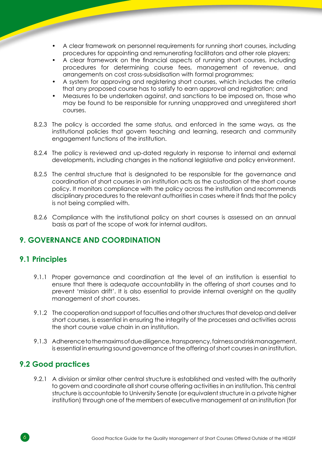- A clear framework on personnel requirements for running short courses, including procedures for appointing and remunerating facilitators and other role players;
- A clear framework on the financial aspects of running short courses, including procedures for determining course fees, management of revenue, and arrangements on cost cross-subsidisation with formal programmes;
- A system for approving and registering short courses, which includes the criteria that any proposed course has to satisfy to earn approval and registration; and
- Measures to be undertaken against, and sanctions to be imposed on, those who may be found to be responsible for running unapproved and unregistered short courses.
- 8.2.3 The policy is accorded the same status, and enforced in the same ways, as the institutional policies that govern teaching and learning, research and community engagement functions of the institution.
- 8.2.4 The policy is reviewed and up-dated regularly in response to internal and external developments, including changes in the national legislative and policy environment.
- 8.2.5 The central structure that is designated to be responsible for the governance and coordination of short courses in an institution acts as the custodian of the short course policy. It monitors compliance with the policy across the institution and recommends disciplinary procedures to the relevant authorities in cases where it finds that the policy is not being complied with.
- 8.2.6 Compliance with the institutional policy on short courses is assessed on an annual basis as part of the scope of work for internal auditors.

#### **9. GOVERNANCE AND COORDINATION**

#### **9.1 Principles**

- 9.1.1 Proper governance and coordination at the level of an institution is essential to ensure that there is adequate accountability in the offering of short courses and to prevent 'mission drift'. It is also essential to provide internal oversight on the quality management of short courses.
- 9.1.2 The cooperation and support of faculties and other structures that develop and deliver short courses, is essential in ensuring the integrity of the processes and activities across the short course value chain in an institution.
- 9.1.3 Adherence to the maxims of due diligence, transparency, fairness and risk management, is essential in ensuring sound governance of the offering of short courses in an institution.

#### **9.2 Good practices**

 9.2.1 A division or similar other central structure is established and vested with the authority to govern and coordinate all short course offering activities in an institution. This central structure is accountable to University Senate (or equivalent structure in a private higher institution) through one of the members of executive management at an institution (for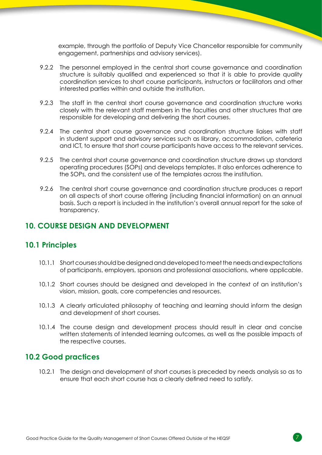example, through the portfolio of Deputy Vice Chancellor responsible for community engagement, partnerships and advisory services).

- 9.2.2 The personnel employed in the central short course governance and coordination structure is suitably qualified and experienced so that it is able to provide quality coordination services to short course participants, instructors or facilitators and other interested parties within and outside the institution.
- 9.2.3 The staff in the central short course governance and coordination structure works closely with the relevant staff members in the faculties and other structures that are responsible for developing and delivering the short courses.
- 9.2.4 The central short course governance and coordination structure liaises with staff in student support and advisory services such as library, accommodation, cafeteria and ICT, to ensure that short course participants have access to the relevant services.
- 9.2.5 The central short course governance and coordination structure draws up standard operating procedures (SOPs) and develops templates. It also enforces adherence to the SOPs, and the consistent use of the templates across the institution.
- 9.2.6 The central short course governance and coordination structure produces a report on all aspects of short course offering (including financial information) on an annual basis. Such a report is included in the institution's overall annual report for the sake of transparency.

#### **10. COURSE DESIGN AND DEVELOPMENT**

#### **10.1 Principles**

- 10.1.1 Short courses should be designed and developed to meet the needs and expectations of participants, employers, sponsors and professional associations, where applicable.
- 10.1.2 Short courses should be designed and developed in the context of an institution's vision, mission, goals, core competencies and resources.
- 10.1.3 A clearly articulated philosophy of teaching and learning should inform the design and development of short courses.
- 10.1.4 The course design and development process should result in clear and concise written statements of intended learning outcomes, as well as the possible impacts of the respective courses.

#### **10.2 Good practices**

 10.2.1 The design and development of short courses is preceded by needs analysis so as to ensure that each short course has a clearly defined need to satisfy.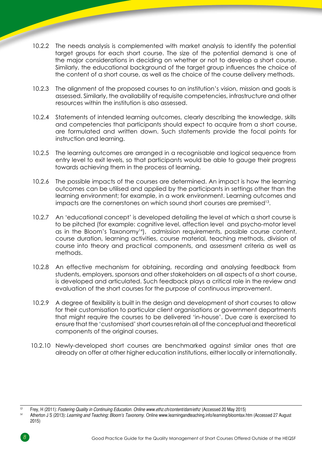- 10.2.2 The needs analysis is complemented with market analysis to identify the potential target groups for each short course. The size of the potential demand is one of the major considerations in deciding on whether or not to develop a short course. Similarly, the educational background of the target group influences the choice of the content of a short course, as well as the choice of the course delivery methods.
- 10.2.3 The alignment of the proposed courses to an institution's vision, mission and goals is assessed. Similarly, the availability of requisite competencies, infrastructure and other resources within the institution is also assessed.
- 10.2.4 Statements of intended learning outcomes, clearly describing the knowledge, skills and competencies that participants should expect to acquire from a short course, are formulated and written down. Such statements provide the focal points for instruction and learning.
- 10.2.5 The learning outcomes are arranged in a recognisable and logical sequence from entry level to exit levels, so that participants would be able to gauge their progress towards achieving them in the process of learning.
- 10.2.6 The possible impacts of the courses are determined. An impact is how the learning outcomes can be utilised and applied by the participants in settings other than the learning environment; for example, in a work environment. Learning outcomes and impacts are the cornerstones on which sound short courses are premised13.
- 10.2.7 An 'educational concept' is developed detailing the level at which a short course is to be pitched (for example: cognitive level, affection level and psycho-motor level as in the Bloom's Taxonomy<sup>14</sup>), admission requirements, possible course content, course duration, learning activities, course material, teaching methods, division of course into theory and practical components, and assessment criteria as well as methods.
- 10.2.8 An effective mechanism for obtaining, recording and analysing feedback from students, employers, sponsors and other stakeholders on all aspects of a short course, is developed and articulated. Such feedback plays a critical role in the review and evaluation of the short courses for the purpose of continuous improvement.
- 10.2.9 A degree of flexibility is built in the design and development of short courses to allow for their customisation to particular client organisations or government departments that might require the courses to be delivered 'in-house'. Due care is exercised to ensure that the 'customised' short courses retain all of the conceptual and theoretical components of the original courses.
- 10.2.10 Newly-developed short courses are benchmarked against similar ones that are already on offer at other higher education institutions, either locally or internationally.

<sup>&</sup>lt;sup>13</sup> Frey, H (2011): Fostering Quality in Continuing Education. Online www.ethz.ch/content/dam/ethz (Accessed 20 May 2015)

Atherton J S (2013): Learning and Teaching; Bloom's Taxonomy. Online www.learningandteaching.info/learning/bloomtax.htm (Accessed 27 August 2015)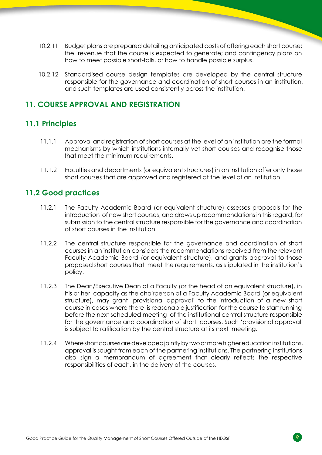- 10.2.11 Budget plans are prepared detailing anticipated costs of offering each short course; the revenue that the course is expected to generate; and contingency plans on how to meet possible short-falls, or how to handle possible surplus.
- 10.2.12 Standardised course design templates are developed by the central structure responsible for the governance and coordination of short courses in an institution, and such templates are used consistently across the institution.

### **11. COURSE APPROVAL AND REGISTRATION**

#### **11.1 Principles**

- 11.1.1 Approval and registration of short courses at the level of an institution are the formal mechanisms by which institutions internally vet short courses and recognise those that meet the minimum requirements.
- 11.1.2 Faculties and departments (or equivalent structures) in an institution offer only those short courses that are approved and registered at the level of an institution.

#### **11.2 Good practices**

- 11.2.1 The Faculty Academic Board (or equivalent structure) assesses proposals for the introduction of new short courses, and draws up recommendations in this regard, for submission to the central structure responsible for the governance and coordination of short courses in the institution.
- 11.2.2 The central structure responsible for the governance and coordination of short courses in an institution considers the recommendations received from the relevant Faculty Academic Board (or equivalent structure), and grants approval to those proposed short courses that meet the requirements, as stipulated in the institution's policy.
- 11.2.3 The Dean/Executive Dean of a Faculty (or the head of an equivalent structure), in his or her capacity as the chairperson of a Faculty Academic Board (or equivalent structure), may grant 'provisional approval' to the introduction of a new short course in cases where there is reasonable justification for the course to start running before the next scheduled meeting of the institutional central structure responsible for the governance and coordination of short courses. Such 'provisional approval' is subject to ratification by the central structure at its next meeting.
- 11.2.4 Where short courses are developed jointly by two or more higher education institutions, approval is sought from each of the partnering institutions. The partnering institutions also sign a memorandum of agreement that clearly reflects the respective responsibilities of each, in the delivery of the courses.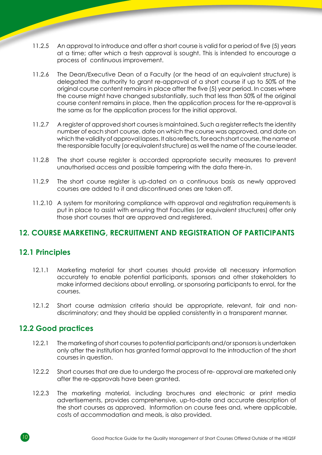- 11.2.5 An approval to introduce and offer a short course is valid for a period of five (5) years at a time; after which a fresh approval is sought. This is intended to encourage a process of continuous improvement.
- 11.2.6 The Dean/Executive Dean of a Faculty (or the head of an equivalent structure) is delegated the authority to grant re-approval of a short course if up to 50% of the original course content remains in place after the five (5) year period. In cases where the course might have changed substantially, such that less than 50% of the original course content remains in place, then the application process for the re-approval is the same as for the application process for the initial approval.
- 11.2.7 A register of approved short courses is maintained. Such a register reflects the identity number of each short course, date on which the course was approved, and date on which the validity of approval lapses. It also reflects, for each short course, the name of the responsible faculty (or equivalent structure) as well the name of the course leader.
- 11.2.8 The short course register is accorded appropriate security measures to prevent unauthorised access and possible tampering with the data there-in.
- 11.2.9 The short course register is up-dated on a continuous basis as newly approved courses are added to it and discontinued ones are taken off.
- 11.2.10 A system for monitoring compliance with approval and registration requirements is put in place to assist with ensuring that Faculties (or equivalent structures) offer only those short courses that are approved and registered.

#### **12. COURSE MARKETING, RECRUITMENT AND REGISTRATION OF PARTICIPANTS**

#### **12.1 Principles**

- 12.1.1 Marketing material for short courses should provide all necessary information accurately to enable potential participants, sponsors and other stakeholders to make informed decisions about enrolling, or sponsoring participants to enrol, for the courses.
- 12.1.2 Short course admission criteria should be appropriate, relevant, fair and nondiscriminatory; and they should be applied consistently in a transparent manner.

#### **12.2 Good practices**

- 12.2.1 The marketing of short courses to potential participants and/or sponsors is undertaken only after the institution has granted formal approval to the introduction of the short courses in question.
- 12.2.2 Short courses that are due to undergo the process of re-approval are marketed only after the re-approvals have been granted.
- 12.2.3 The marketing material, including brochures and electronic or print media advertisements, provides comprehensive, up-to-date and accurate description of the short courses as approved. Information on course fees and, where applicable, costs of accommodation and meals, is also provided.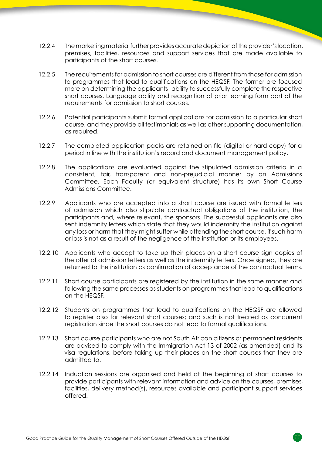- 12.2.4 The marketing material further provides accurate depiction of the provider's location, premises, facilities, resources and support services that are made available to participants of the short courses.
- 12.2.5 The requirements for admission to short courses are different from those for admission to programmes that lead to qualifications on the HEQSF. The former are focused more on determining the applicants' ability to successfully complete the respective short courses. Language ability and recognition of prior learning form part of the requirements for admission to short courses.
- 12.2.6 Potential participants submit formal applications for admission to a particular short course, and they provide all testimonials as well as other supporting documentation, as required.
- 12.2.7 The completed application packs are retained on file (digital or hard copy) for a period in line with the institution's record and document management policy.
- 12.2.8 The applications are evaluated against the stipulated admission criteria in a consistent, fair, transparent and non-prejudicial manner by an Admissions Committee. Each Faculty (or equivalent structure) has its own Short Course Admissions Committee.
- 12.2.9 Applicants who are accepted into a short course are issued with formal letters of admission which also stipulate contractual obligations of the institution, the participants and, where relevant, the sponsors. The successful applicants are also sent indemnity letters which state that they would indemnify the institution against any loss or harm that they might suffer while attending the short course, if such harm or loss is not as a result of the negligence of the institution or its employees.
- 12.2.10 Applicants who accept to take up their places on a short course sign copies of the offer of admission letters as well as the indemnity letters. Once signed, they are returned to the institution as confirmation of acceptance of the contractual terms.
- 12.2.11 Short course participants are registered by the institution in the same manner and following the same processes as students on programmes that lead to qualifications on the HEQSF.
- 12.2.12 Students on programmes that lead to qualifications on the HEQSF are allowed to register also for relevant short courses; and such is not treated as concurrent registration since the short courses do not lead to formal qualifications.
- 12.2.13 Short course participants who are not South African citizens or permanent residents are advised to comply with the Immigration Act 13 of 2002 (as amended) and its visa regulations, before taking up their places on the short courses that they are admitted to.
- 12.2.14 Induction sessions are organised and held at the beginning of short courses to provide participants with relevant information and advice on the courses, premises, facilities, delivery method(s), resources available and participant support services offered.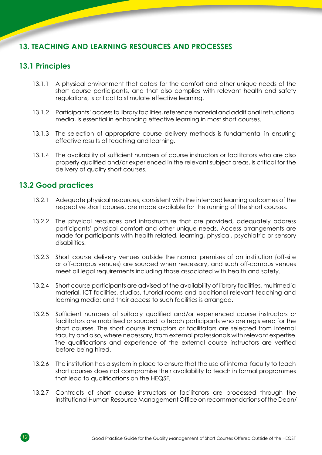# **13. TEACHING AND LEARNING RESOURCES AND PROCESSES**

### **13.1 Principles**

- 13.1.1 A physical environment that caters for the comfort and other unique needs of the short course participants, and that also complies with relevant health and safety regulations, is critical to stimulate effective learning.
- 13.1.2 Participants' access to library facilities, reference material and additional instructional media, is essential in enhancing effective learning in most short courses.
- 13.1.3 The selection of appropriate course delivery methods is fundamental in ensuring effective results of teaching and learning.
- 13.1.4 The availability of sufficient numbers of course instructors or facilitators who are also properly qualified and/or experienced in the relevant subject areas, is critical for the delivery of quality short courses.

#### **13.2 Good practices**

- 13.2.1 Adequate physical resources, consistent with the intended learning outcomes of the respective short courses, are made available for the running of the short courses.
- 13.2.2 The physical resources and infrastructure that are provided, adequately address participants' physical comfort and other unique needs. Access arrangements are made for participants with health-related, learning, physical, psychiatric or sensory disabilities.
- 13.2.3 Short course delivery venues outside the normal premises of an institution (off-site or off-campus venues) are sourced when necessary, and such off-campus venues meet all legal requirements including those associated with health and safety.
- 13.2.4 Short course participants are advised of the availability of library facilities, multimedia material, ICT facilities, studios, tutorial rooms and additional relevant teaching and learning media; and their access to such facilities is arranged.
- 13.2.5 Sufficient numbers of suitably qualified and/or experienced course instructors or facilitators are mobilised or sourced to teach participants who are registered for the short courses. The short course instructors or facilitators are selected from internal faculty and also, where necessary, from external professionals with relevant expertise. The qualifications and experience of the external course instructors are verified before being hired.
- 13.2.6 The institution has a system in place to ensure that the use of internal faculty to teach short courses does not compromise their availability to teach in formal programmes that lead to qualifications on the HEQSF.
- 13.2.7 Contracts of short course instructors or facilitators are processed through the institutional Human Resource Management Office on recommendations of the Dean/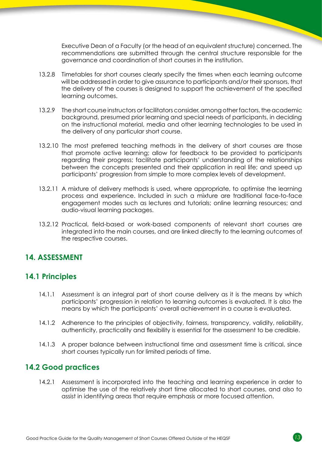Executive Dean of a Faculty (or the head of an equivalent structure) concerned. The recommendations are submitted through the central structure responsible for the governance and coordination of short courses in the institution.

- 13.2.8 Timetables for short courses clearly specify the times when each learning outcome will be addressed in order to give assurance to participants and/or their sponsors, that the delivery of the courses is designed to support the achievement of the specified learning outcomes.
- 13.2.9 The short course instructors or facilitators consider, among other factors, the academic background, presumed prior learning and special needs of participants, in deciding on the instructional material, media and other learning technologies to be used in the delivery of any particular short course.
- 13.2.10 The most preferred teaching methods in the delivery of short courses are those that promote active learning; allow for feedback to be provided to participants regarding their progress; facilitate participants' understanding of the relationships between the concepts presented and their application in real life; and speed up participants' progression from simple to more complex levels of development.
- 13.2.11 A mixture of delivery methods is used, where appropriate, to optimise the learning process and experience. Included in such a mixture are traditional face-to-face engagement modes such as lectures and tutorials; online learning resources; and audio-visual learning packages.
- 13.2.12 Practical, field-based or work-based components of relevant short courses are integrated into the main courses, and are linked directly to the learning outcomes of the respective courses.

#### **14. ASSESSMENT**

#### **14.1 Principles**

- 14.1.1 Assessment is an integral part of short course delivery as it is the means by which participants' progression in relation to learning outcomes is evaluated. It is also the means by which the participants' overall achievement in a course is evaluated.
- 14.1.2 Adherence to the principles of objectivity, fairness, transparency, validity, reliability, authenticity, practicality and flexibility is essential for the assessment to be credible.
- 14.1.3 A proper balance between instructional time and assessment time is critical, since short courses typically run for limited periods of time.

#### **14.2 Good practices**

 14.2.1 Assessment is incorporated into the teaching and learning experience in order to optimise the use of the relatively short time allocated to short courses, and also to assist in identifying areas that require emphasis or more focused attention.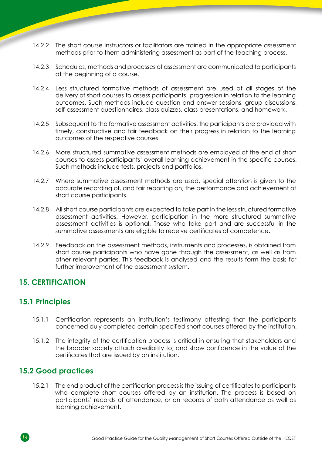- 14.2.2 The short course instructors or facilitators are trained in the appropriate assessment methods prior to them administering assessment as part of the teaching process.
- 14.2.3 Schedules, methods and processes of assessment are communicated to participants at the beginning of a course.
- 14.2.4 Less structured formative methods of assessment are used at all stages of the delivery of short courses to assess participants' progression in relation to the learning outcomes. Such methods include question and answer sessions, group discussions, self-assessment questionnaires, class quizzes, class presentations, and homework.
- 14.2.5 Subsequent to the formative assessment activities, the participants are provided with timely, constructive and fair feedback on their progress in relation to the learning outcomes of the respective courses.
- 14.2.6 More structured summative assessment methods are employed at the end of short courses to assess participants' overall learning achievement in the specific courses. Such methods include tests, projects and portfolios.
- 14.2.7 Where summative assessment methods are used, special attention is given to the accurate recording of, and fair reporting on, the performance and achievement of short course participants.
- 14.2.8 All short course participants are expected to take part in the less structured formative assessment activities. However, participation in the more structured summative assessment activities is optional. Those who take part and are successful in the summative assessments are eligible to receive certificates of competence.
- 14.2.9 Feedback on the assessment methods, instruments and processes, is obtained from short course participants who have gone through the assessment, as well as from other relevant parties. This feedback is analysed and the results form the basis for further improvement of the assessment system.

### **15. CERTIFICATION**

#### **15.1 Principles**

- 15.1.1 Certification represents an institution's testimony attesting that the participants concerned duly completed certain specified short courses offered by the institution.
- 15.1.2 The integrity of the certification process is critical in ensuring that stakeholders and the broader society attach credibility to, and show confidence in the value of the certificates that are issued by an institution.

#### **15.2 Good practices**

15.2.1 The end product of the certification process is the issuing of certificates to participants who complete short courses offered by an institution. The process is based on participants' records of attendance, or on records of both attendance as well as learning achievement.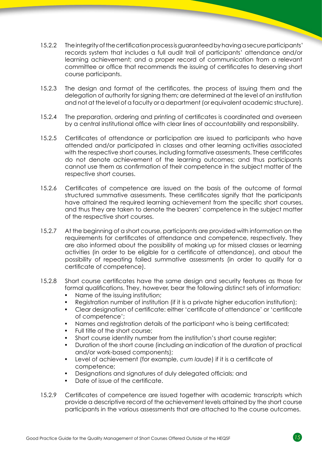- 15.2.2 The integrity of the certification process is guaranteed by having a secure participants' records system that includes a full audit trail of participants' attendance and/or learning achievement; and a proper record of communication from a relevant committee or office that recommends the issuing of certificates to deserving short course participants.
- 15.2.3 The design and format of the certificates, the process of issuing them and the delegation of authority for signing them; are determined at the level of an institution and not at the level of a faculty or a department (or equivalent academic structure).
- 15.2.4 The preparation, ordering and printing of certificates is coordinated and overseen by a central institutional office with clear lines of accountability and responsibility.
- 15.2.5 Certificates of attendance or participation are issued to participants who have attended and/or participated in classes and other learning activities associated with the respective short courses, including formative assessments. These certificates do not denote achievement of the learning outcomes; and thus participants cannot use them as confirmation of their competence in the subject matter of the respective short courses.
- 15.2.6 Certificates of competence are issued on the basis of the outcome of formal structured summative assessments. These certificates signify that the participants have attained the required learning achievement from the specific short courses, and thus they are taken to denote the bearers' competence in the subject matter of the respective short courses.
- 15.2.7 At the beginning of a short course, participants are provided with information on the requirements for certificates of attendance and competence, respectively. They are also informed about the possibility of making up for missed classes or learning activities (in order to be eligible for a certificate of attendance), and about the possibility of repeating failed summative assessments (in order to qualify for a certificate of competence).
- 15.2.8 Short course certificates have the same design and security features as those for formal qualifications. They, however, bear the following distinct sets of information:
	- Name of the issuing institution;
	- Registration number of institution (if it is a private higher education institution);
	- Clear designation of certificate: either 'certificate of attendance' or 'certificate of competence';
	- Names and registration details of the participant who is being certificated;
	- Full title of the short course:
	- Short course identity number from the institution's short course register;
	- Duration of the short course (including an indication of the duration of practical and/or work-based components);
	- Level of achievement (for example, *cum laude*) if it is a certificate of competence;
	- Designations and signatures of duly delegated officials; and
	- Date of issue of the certificate.
- 15.2.9 Certificates of competence are issued together with academic transcripts which provide a descriptive record of the achievement levels attained by the short course participants in the various assessments that are attached to the course outcomes.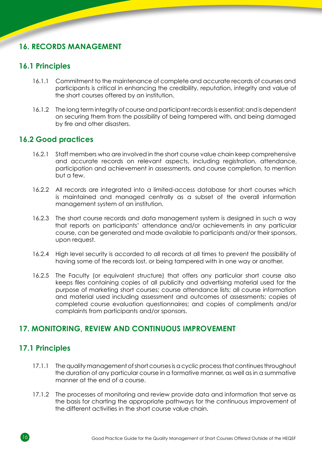# **16. RECORDS MANAGEMENT**

### **16.1 Principles**

- 16.1.1 Commitment to the maintenance of complete and accurate records of courses and participants is critical in enhancing the credibility, reputation, integrity and value of the short courses offered by an institution.
- 16.1.2 The long term integrity of course and participant records is essential; and is dependent on securing them from the possibility of being tampered with, and being damaged by fire and other disasters.

#### **16.2 Good practices**

- 16.2.1 Staff members who are involved in the short course value chain keep comprehensive and accurate records on relevant aspects, including registration, attendance, participation and achievement in assessments, and course completion, to mention but a few.
- 16.2.2 All records are integrated into a limited-access database for short courses which is maintained and managed centrally as a subset of the overall information management system of an institution.
- 16.2.3 The short course records and data management system is designed in such a way that reports on participants' attendance and/or achievements in any particular course, can be generated and made available to participants and/or their sponsors, upon request.
- 16.2.4 High level security is accorded to all records at all times to prevent the possibility of having some of the records lost, or being tampered with in one way or another.
- 16.2.5 The Faculty (or equivalent structure) that offers any particular short course also keeps files containing copies of all publicity and advertising material used for the purpose of marketing short courses; course attendance lists; all course information and material used including assessment and outcomes of assessments; copies of completed course evaluation questionnaires; and copies of compliments and/or complaints from participants and/or sponsors.

#### **17. MONITORING, REVIEW AND CONTINUOUS IMPROVEMENT**

#### **17.1 Principles**

- 17.1.1 The quality management of short courses is a cyclic process that continues throughout the duration of any particular course in a formative manner, as well as in a summative manner at the end of a course.
- 17.1.2 The processes of monitoring and review provide data and information that serve as the basis for charting the appropriate pathways for the continuous improvement of the different activities in the short course value chain.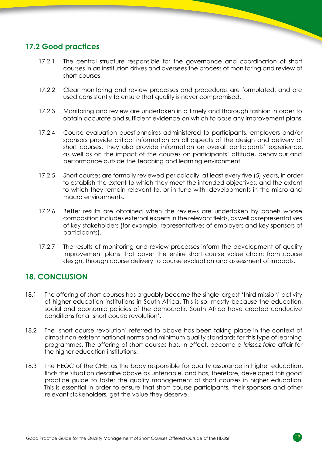### **17.2 Good practices**

- 17.2.1 The central structure responsible for the governance and coordination of short courses in an institution drives and oversees the process of monitoring and review of short courses.
- 17.2.2 Clear monitoring and review processes and procedures are formulated, and are used consistently to ensure that quality is never compromised.
- 17.2.3 Monitoring and review are undertaken in a timely and thorough fashion in order to obtain accurate and sufficient evidence on which to base any improvement plans.
- 17.2.4 Course evaluation questionnaires administered to participants, employers and/or sponsors provide critical information on all aspects of the design and delivery of short courses. They also provide information on overall participants' experience, as well as on the impact of the courses on participants' attitude, behaviour and performance outside the teaching and learning environment.
- 17.2.5 Short courses are formally reviewed periodically, at least every five (5) years, in order to establish the extent to which they meet the intended objectives, and the extent to which they remain relevant to, or in tune with, developments in the micro and macro environments.
- 17.2.6 Better results are obtained when the reviews are undertaken by panels whose composition includes external experts in the relevant fields, as well as representatives of key stakeholders (for example, representatives of employers and key sponsors of participants).
- 17.2.7 The results of monitoring and review processes inform the development of quality improvement plans that cover the entire short course value chain; from course design, through course delivery to course evaluation and assessment of impacts.

### **18. CONCLUSION**

- 18.1 The offering of short courses has arguably become the single largest 'third mission' activity of higher education institutions in South Africa. This is so, mostly because the education, social and economic policies of the democratic South Africa have created conducive conditions for a 'short course revolution'.
- 18.2 The 'short course revolution' referred to above has been taking place in the context of almost non-existent national norms and minimum quality standards for this type of learning programmes. The offering of short courses has, in effect, become a *laissez faire* affair for the higher education institutions.
- 18.3 The HEQC of the CHE, as the body responsible for quality assurance in higher education, finds the situation describe above as untenable, and has, therefore, developed this good practice guide to foster the quality management of short courses in higher education. This is essential in order to ensure that short course participants, their sponsors and other relevant stakeholders, get the value they deserve.

 $\overline{\phantom{a}}$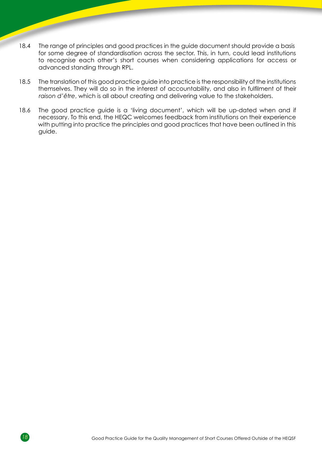- 18.4 The range of principles and good practices in the guide document should provide a basis for some degree of standardisation across the sector. This, in turn, could lead institutions to recognise each other's short courses when considering applications for access or advanced standing through RPL.
- 18.5 The translation of this good practice guide into practice is the responsibility of the institutions themselves. They will do so in the interest of accountability, and also in fulfilment of their *raison d'être*, which is all about creating and delivering value to the stakeholders.
- 18.6 The good practice guide is a 'living document', which will be up-dated when and if necessary. To this end, the HEQC welcomes feedback from institutions on their experience with putting into practice the principles and good practices that have been outlined in this guide.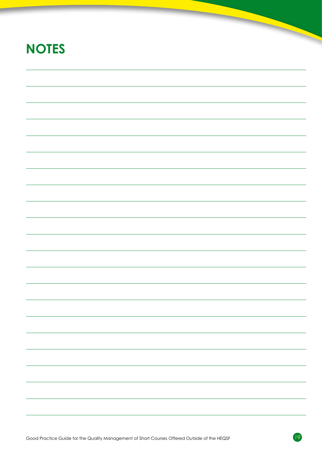| <b>NOTES</b> |  |
|--------------|--|
|              |  |
|              |  |
|              |  |
|              |  |
|              |  |
|              |  |
|              |  |
|              |  |
|              |  |
|              |  |
|              |  |
|              |  |
|              |  |
|              |  |
|              |  |
|              |  |
|              |  |
|              |  |
|              |  |
|              |  |
|              |  |
|              |  |
|              |  |
|              |  |
|              |  |
|              |  |
|              |  |
|              |  |
|              |  |
|              |  |
|              |  |
|              |  |
|              |  |
|              |  |
|              |  |
|              |  |
|              |  |
|              |  |
|              |  |
|              |  |
|              |  |
|              |  |
|              |  |
|              |  |
|              |  |
|              |  |
|              |  |
|              |  |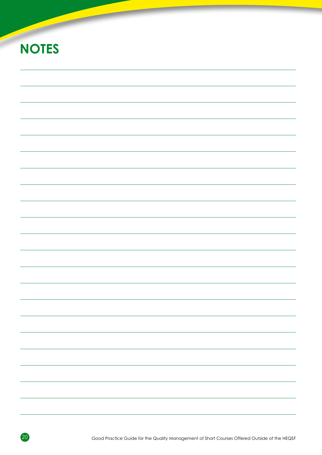|  | <b>NOTES</b> |  |  |
|--|--------------|--|--|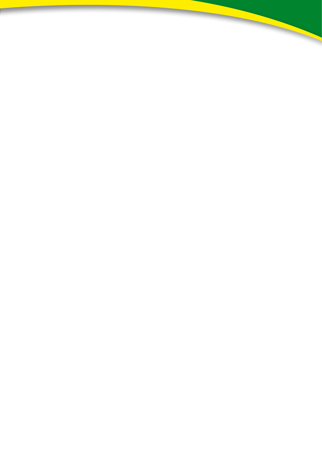